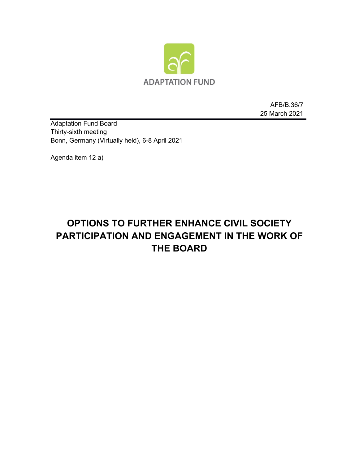

AFB/B.36/7 25 March 2021

Adaptation Fund Board Thirty-sixth meeting Bonn, Germany (Virtually held), 6-8 April 2021

Agenda item 12 a)

# **OPTIONS TO FURTHER ENHANCE CIVIL SOCIETY PARTICIPATION AND ENGAGEMENT IN THE WORK OF THE BOARD**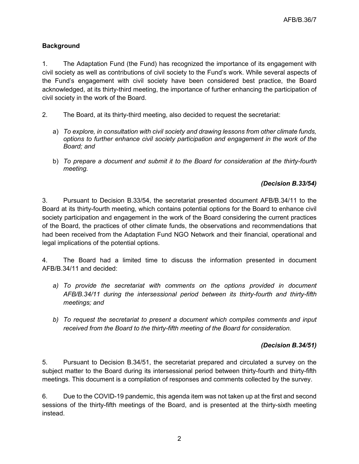## **Background**

1. The Adaptation Fund (the Fund) has recognized the importance of its engagement with civil society as well as contributions of civil society to the Fund's work. While several aspects of the Fund's engagement with civil society have been considered best practice, the Board acknowledged, at its thirty-third meeting, the importance of further enhancing the participation of civil society in the work of the Board.

- 2. The Board, at its thirty-third meeting, also decided to request the secretariat:
	- a) *To explore, in consultation with civil society and drawing lessons from other climate funds, options to further enhance civil society participation and engagement in the work of the Board; and*
	- b) *To prepare a document and submit it to the Board for consideration at the thirty-fourth meeting.*

## *(Decision B.33/54)*

3. Pursuant to Decision B.33/54, the secretariat presented document AFB/B.34/11 to the Board at its thirty-fourth meeting, which contains potential options for the Board to enhance civil society participation and engagement in the work of the Board considering the current practices of the Board, the practices of other climate funds, the observations and recommendations that had been received from the Adaptation Fund NGO Network and their financial, operational and legal implications of the potential options.

4. The Board had a limited time to discuss the information presented in document AFB/B.34/11 and decided:

- a) To provide the secretariat with comments on the options provided in document *AFB/B.34/11 during the intersessional period between its thirty-fourth and thirty-fifth meetings; and*
- *b) To request the secretariat to present a document which compiles comments and input received from the Board to the thirty-fifth meeting of the Board for consideration.*

#### *(Decision B.34/51)*

5. Pursuant to Decision B.34/51, the secretariat prepared and circulated a survey on the subject matter to the Board during its intersessional period between thirty-fourth and thirty-fifth meetings. This document is a compilation of responses and comments collected by the survey.

6. Due to the COVID-19 pandemic, this agenda item was not taken up at the first and second sessions of the thirty-fifth meetings of the Board, and is presented at the thirty-sixth meeting instead.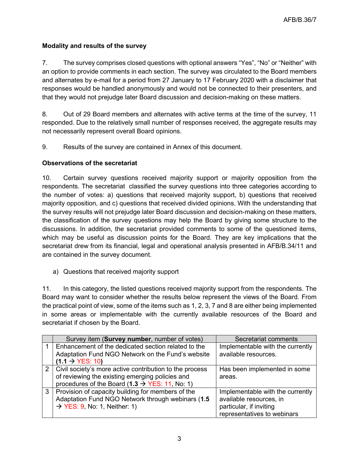# **Modality and results of the survey**

7. The survey comprises closed questions with optional answers "Yes", "No" or "Neither" with an option to provide comments in each section. The survey was circulated to the Board members and alternates by e-mail for a period from 27 January to 17 February 2020 with a disclaimer that responses would be handled anonymously and would not be connected to their presenters, and that they would not prejudge later Board discussion and decision-making on these matters.

8. Out of 29 Board members and alternates with active terms at the time of the survey, 11 responded. Due to the relatively small number of responses received, the aggregate results may not necessarily represent overall Board opinions.

9. Results of the survey are contained in Annex of this document.

# **Observations of the secretariat**

10. Certain survey questions received majority support or majority opposition from the respondents. The secretariat classified the survey questions into three categories according to the number of votes: a) questions that received majority support, b) questions that received majority opposition, and c) questions that received divided opinions. With the understanding that the survey results will not prejudge later Board discussion and decision-making on these matters, the classification of the survey questions may help the Board by giving some structure to the discussions. In addition, the secretariat provided comments to some of the questioned items, which may be useful as discussion points for the Board. They are key implications that the secretariat drew from its financial, legal and operational analysis presented in AFB/B.34/11 and are contained in the survey document.

a) Questions that received majority support

11. In this category, the listed questions received majority support from the respondents. The Board may want to consider whether the results below represent the views of the Board. From the practical point of view, some of the items such as 1, 2, 3, 7 and 8 are either being implemented in some areas or implementable with the currently available resources of the Board and secretariat if chosen by the Board.

| Survey item (Survey number, number of votes)                | Secretariat comments             |
|-------------------------------------------------------------|----------------------------------|
| Enhancement of the dedicated section related to the         | Implementable with the currently |
| Adaptation Fund NGO Network on the Fund's website           | available resources.             |
| $(1.1 \rightarrow YES: 10)$                                 |                                  |
| 2   Civil society's more active contribution to the process | Has been implemented in some     |
| of reviewing the existing emerging policies and             | areas.                           |
| procedures of the Board $(1.3 \rightarrow YES: 11, No: 1)$  |                                  |
| 3   Provision of capacity building for members of the       | Implementable with the currently |
| Adaptation Fund NGO Network through webinars (1.5           | available resources, in          |
| $\rightarrow$ YES: 9, No: 1, Neither: 1)                    | particular, if inviting          |
|                                                             | representatives to webinars      |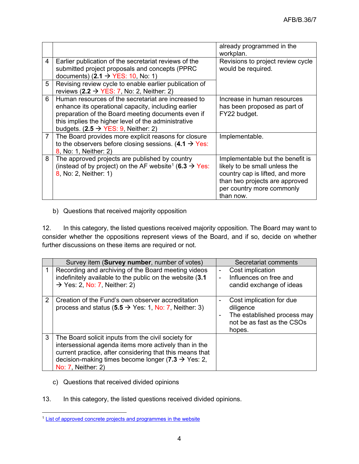|                |                                                                                                                                                                                                                                                                            | already programmed in the<br>workplan.                                                                                                                                           |
|----------------|----------------------------------------------------------------------------------------------------------------------------------------------------------------------------------------------------------------------------------------------------------------------------|----------------------------------------------------------------------------------------------------------------------------------------------------------------------------------|
| 4              | Earlier publication of the secretariat reviews of the<br>submitted project proposals and concepts (PPRC<br>documents) (2.1 $\rightarrow$ YES: 10, No: 1)                                                                                                                   | Revisions to project review cycle<br>would be required.                                                                                                                          |
| 5              | Revising review cycle to enable earlier publication of<br>reviews $(2.2 \rightarrow YES: 7, No: 2, Neither: 2)$                                                                                                                                                            |                                                                                                                                                                                  |
| 6              | Human resources of the secretariat are increased to<br>enhance its operational capacity, including earlier<br>preparation of the Board meeting documents even if<br>this implies the higher level of the administrative<br>budgets. $(2.5 \rightarrow YES: 9,$ Neither: 2) | Increase in human resources<br>has been proposed as part of<br>FY22 budget.                                                                                                      |
| $\overline{7}$ | The Board provides more explicit reasons for closure<br>to the observers before closing sessions. (4.1 $\rightarrow$ Yes:<br>8, No: 1, Neither: 2)                                                                                                                         | Implementable.                                                                                                                                                                   |
| 8              | The approved projects are published by country<br>(instead of by project) on the AF website <sup>1</sup> (6.3 $\rightarrow$ Yes:<br>8, No: 2, Neither: 1)                                                                                                                  | Implementable but the benefit is<br>likely to be small unless the<br>country cap is lifted, and more<br>than two projects are approved<br>per country more commonly<br>than now. |

# b) Questions that received majority opposition

12. In this category, the listed questions received majority opposition. The Board may want to consider whether the oppositions represent views of the Board, and if so, decide on whether further discussions on these items are required or not.

|   | Survey item (Survey number, number of votes)                                                                                                                                                                                                                     | Secretariat comments                                                                                                   |
|---|------------------------------------------------------------------------------------------------------------------------------------------------------------------------------------------------------------------------------------------------------------------|------------------------------------------------------------------------------------------------------------------------|
|   | Recording and archiving of the Board meeting videos<br>indefinitely available to the public on the website (3.1<br>$\rightarrow$ Yes: 2, No: 7, Neither: 2)                                                                                                      | Cost implication<br>$\blacksquare$<br>Influences on free and<br>÷,<br>candid exchange of ideas                         |
| 2 | Creation of the Fund's own observer accreditation<br>process and status (5.5 $\rightarrow$ Yes: 1, No: 7, Neither: 3)                                                                                                                                            | Cost implication for due<br>-<br>diligence<br>The established process may<br>-<br>not be as fast as the CSOs<br>hopes. |
| 3 | The Board solicit inputs from the civil society for<br>intersessional agenda items more actively than in the<br>current practice, after considering that this means that<br>decision-making times become longer (7.3 $\rightarrow$ Yes: 2,<br>No: 7, Neither: 2) |                                                                                                                        |

- c) Questions that received divided opinions
- 13. In this category, the listed questions received divided opinions.

<span id="page-3-0"></span><sup>1</sup> [List of approved concrete projects and programmes in the website](https://www.adaptation-fund.org/projects-programmes/proposals-concepts-under-review/)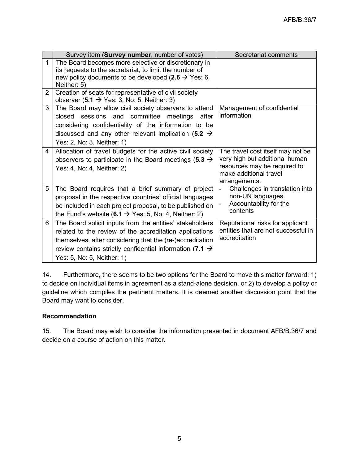|   | Survey item (Survey number, number of votes)                                                                                                                                                                                                                                           | Secretariat comments                                                                                                                           |
|---|----------------------------------------------------------------------------------------------------------------------------------------------------------------------------------------------------------------------------------------------------------------------------------------|------------------------------------------------------------------------------------------------------------------------------------------------|
| 1 | The Board becomes more selective or discretionary in<br>its requests to the secretariat, to limit the number of<br>new policy documents to be developed (2.6 $\rightarrow$ Yes: 6,<br>Neither: 5)                                                                                      |                                                                                                                                                |
| 2 | Creation of seats for representative of civil society<br>observer $(5.1 \rightarrow Y$ es: 3, No: 5, Neither: 3)                                                                                                                                                                       |                                                                                                                                                |
| 3 | The Board may allow civil society observers to attend<br>closed sessions and committee meetings<br>after<br>considering confidentiality of the information to be<br>discussed and any other relevant implication (5.2 $\rightarrow$<br>Yes: 2, No: 3, Neither: 1)                      | Management of confidential<br>information                                                                                                      |
| 4 | Allocation of travel budgets for the active civil society<br>observers to participate in the Board meetings (5.3 $\rightarrow$<br>Yes: 4, No: 4, Neither: 2)                                                                                                                           | The travel cost itself may not be<br>very high but additional human<br>resources may be required to<br>make additional travel<br>arrangements. |
| 5 | The Board requires that a brief summary of project<br>proposal in the respective countries' official languages<br>be included in each project proposal, to be published on<br>the Fund's website (6.1 $\rightarrow$ Yes: 5, No: 4, Neither: 2)                                         | $\overline{a}$<br>Challenges in translation into<br>non-UN languages<br>Accountability for the<br>contents                                     |
| 6 | The Board solicit inputs from the entities' stakeholders<br>related to the review of the accreditation applications<br>themselves, after considering that the (re-)accreditation<br>review contains strictly confidential information (7.1 $\rightarrow$<br>Yes: 5, No: 5, Neither: 1) | Reputational risks for applicant<br>entities that are not successful in<br>accreditation                                                       |

14. Furthermore, there seems to be two options for the Board to move this matter forward: 1) to decide on individual items in agreement as a stand-alone decision, or 2) to develop a policy or guideline which compiles the pertinent matters. It is deemed another discussion point that the Board may want to consider.

# **Recommendation**

15. The Board may wish to consider the information presented in document AFB/B.36/7 and decide on a course of action on this matter.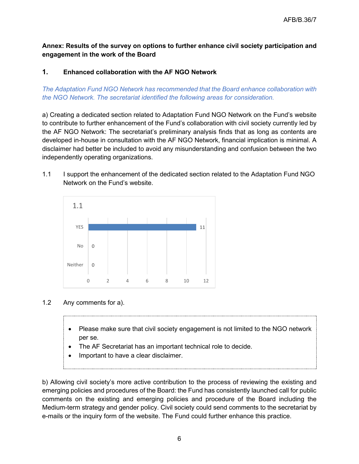# **Annex: Results of the survey on options to further enhance civil society participation and engagement in the work of the Board**

# **1. Enhanced collaboration with the AF NGO Network**

*The Adaptation Fund NGO Network has recommended that the Board enhance collaboration with the NGO Network. The secretariat identified the following areas for consideration.*

a) Creating a dedicated section related to Adaptation Fund NGO Network on the Fund's website to contribute to further enhancement of the Fund's collaboration with civil society currently led by the AF NGO Network: The secretariat's preliminary analysis finds that as long as contents are developed in-house in consultation with the AF NGO Network, financial implication is minimal. A disclaimer had better be included to avoid any misunderstanding and confusion between the two independently operating organizations.

1.1 I support the enhancement of the dedicated section related to the Adaptation Fund NGO Network on the Fund's website.



# 1.2 Any comments for a).

- Please make sure that civil society engagement is not limited to the NGO network per se.
- The AF Secretariat has an important technical role to decide.
- Important to have a clear disclaimer.

b) Allowing civil society's more active contribution to the process of reviewing the existing and emerging policies and procedures of the Board: the Fund has consistently launched call for public comments on the existing and emerging policies and procedure of the Board including the Medium-term strategy and gender policy. Civil society could send comments to the secretariat by e-mails or the inquiry form of the website. The Fund could further enhance this practice.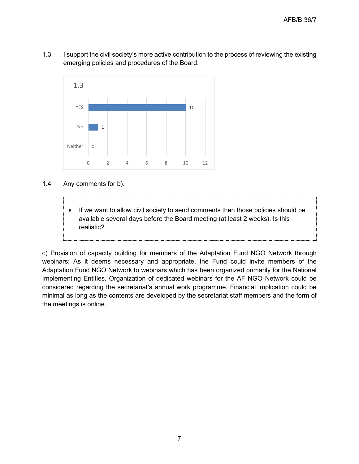1.3 I support the civil society's more active contribution to the process of reviewing the existing emerging policies and procedures of the Board.



1.4 Any comments for b).

• If we want to allow civil society to send comments then those policies should be available several days before the Board meeting (at least 2 weeks). Is this realistic?

c) Provision of capacity building for members of the Adaptation Fund NGO Network through webinars: As it deems necessary and appropriate, the Fund could invite members of the Adaptation Fund NGO Network to webinars which has been organized primarily for the National Implementing Entities. Organization of dedicated webinars for the AF NGO Network could be considered regarding the secretariat's annual work programme. Financial implication could be minimal as long as the contents are developed by the secretariat staff members and the form of the meetings is online.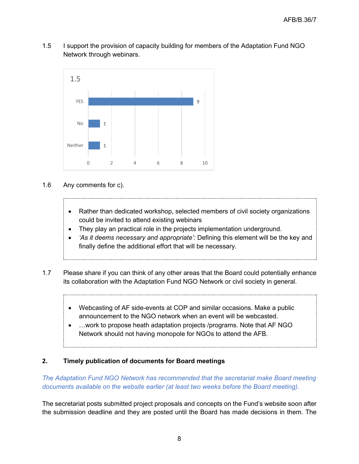1.5 I support the provision of capacity building for members of the Adaptation Fund NGO Network through webinars.



- 1.6 Any comments for c).
	- Rather than dedicated workshop, selected members of civil society organizations could be invited to attend existing webinars
	- They play an practical role in the projects implementation underground.
	- *'As it deems necessary and appropriate':* Defining this element will be the key and finally define the additional effort that will be necessary.
- 1.7 Please share if you can think of any other areas that the Board could potentially enhance its collaboration with the Adaptation Fund NGO Network or civil society in general.
	- Webcasting of AF side-events at COP and similar occasions. Make a public announcement to the NGO network when an event will be webcasted.
	- ... work to propose heath adaptation projects /programs. Note that AF NGO Network should not having monopole for NGOs to attend the AFB.

# **2. Timely publication of documents for Board meetings**

*The Adaptation Fund NGO Network has recommended that the secretariat make Board meeting documents available on the website earlier (at least two weeks before the Board meeting).*

The secretariat posts submitted project proposals and concepts on the Fund's website soon after the submission deadline and they are posted until the Board has made decisions in them. The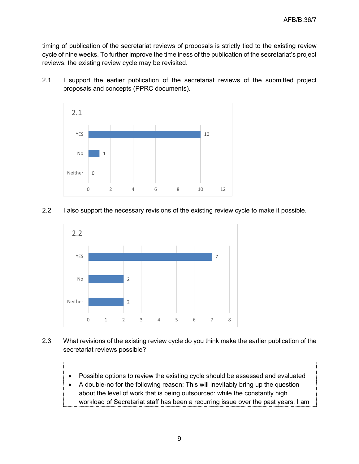timing of publication of the secretariat reviews of proposals is strictly tied to the existing review cycle of nine weeks. To further improve the timeliness of the publication of the secretariat's project reviews, the existing review cycle may be revisited.

2.1 I support the earlier publication of the secretariat reviews of the submitted project proposals and concepts (PPRC documents).



# 2.2 I also support the necessary revisions of the existing review cycle to make it possible.



- 2.3 What revisions of the existing review cycle do you think make the earlier publication of the secretariat reviews possible?
	- Possible options to review the existing cycle should be assessed and evaluated
	- A double-no for the following reason: This will inevitably bring up the question about the level of work that is being outsourced: while the constantly high workload of Secretariat staff has been a recurring issue over the past years, I am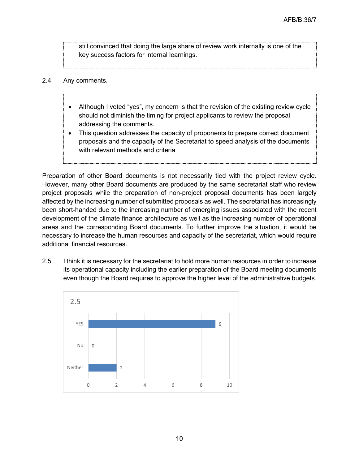still convinced that doing the large share of review work internally is one of the key success factors for internal learnings.

- 2.4 Any comments.
	- Although I voted "yes", my concern is that the revision of the existing review cycle should not diminish the timing for project applicants to review the proposal addressing the comments.
	- This question addresses the capacity of proponents to prepare correct document proposals and the capacity of the Secretariat to speed analysis of the documents with relevant methods and criteria

Preparation of other Board documents is not necessarily tied with the project review cycle. However, many other Board documents are produced by the same secretariat staff who review project proposals while the preparation of non-project proposal documents has been largely affected by the increasing number of submitted proposals as well. The secretariat has increasingly been short-handed due to the increasing number of emerging issues associated with the recent development of the climate finance architecture as well as the increasing number of operational areas and the corresponding Board documents. To further improve the situation, it would be necessary to increase the human resources and capacity of the secretariat, which would require additional financial resources.

2.5 I think it is necessary for the secretariat to hold more human resources in order to increase its operational capacity including the earlier preparation of the Board meeting documents even though the Board requires to approve the higher level of the administrative budgets.

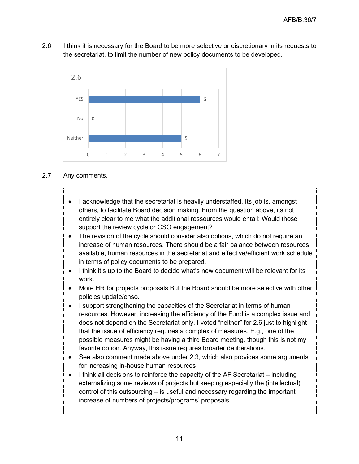2.6 I think it is necessary for the Board to be more selective or discretionary in its requests to the secretariat, to limit the number of new policy documents to be developed.



## 2.7 Any comments.

- I acknowledge that the secretariat is heavily understaffed. Its job is, amongst others, to facilitate Board decision making. From the question above, its not entirely clear to me what the additional ressources would entail: Would those support the review cycle or CSO engagement?
- The revision of the cycle should consider also options, which do not require an increase of human resources. There should be a fair balance between resources available, human resources in the secretariat and effective/efficient work schedule in terms of policy documents to be prepared.
- I think it's up to the Board to decide what's new document will be relevant for its work.
- More HR for projects proposals But the Board should be more selective with other policies update/enso.
- I support strengthening the capacities of the Secretariat in terms of human resources. However, increasing the efficiency of the Fund is a complex issue and does not depend on the Secretariat only. I voted "neither" for 2.6 just to highlight that the issue of efficiency requires a complex of measures. E.g., one of the possible measures might be having a third Board meeting, though this is not my favorite option. Anyway, this issue requires broader deliberations.
- See also comment made above under 2.3, which also provides some arguments for increasing in-house human resources
- I think all decisions to reinforce the capacity of the AF Secretariat including externalizing some reviews of projects but keeping especially the (intellectual) control of this outsourcing – is useful and necessary regarding the important increase of numbers of projects/programs' proposals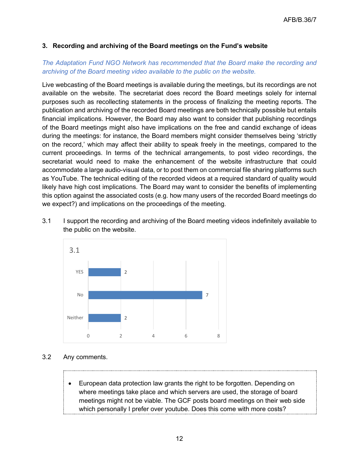# **3. Recording and archiving of the Board meetings on the Fund's website**

# *The Adaptation Fund NGO Network has recommended that the Board make the recording and archiving of the Board meeting video available to the public on the website.*

Live webcasting of the Board meetings is available during the meetings, but its recordings are not available on the website. The secretariat does record the Board meetings solely for internal purposes such as recollecting statements in the process of finalizing the meeting reports. The publication and archiving of the recorded Board meetings are both technically possible but entails financial implications. However, the Board may also want to consider that publishing recordings of the Board meetings might also have implications on the free and candid exchange of ideas during the meetings: for instance, the Board members might consider themselves being 'strictly on the record,' which may affect their ability to speak freely in the meetings, compared to the current proceedings. In terms of the technical arrangements, to post video recordings, the secretariat would need to make the enhancement of the website infrastructure that could accommodate a large audio-visual data, or to post them on commercial file sharing platforms such as YouTube. The technical editing of the recorded videos at a required standard of quality would likely have high cost implications. The Board may want to consider the benefits of implementing this option against the associated costs (e.g. how many users of the recorded Board meetings do we expect?) and implications on the proceedings of the meeting.

3.1 I support the recording and archiving of the Board meeting videos indefinitely available to the public on the website.



- 3.2 Any comments.
	- European data protection law grants the right to be forgotten. Depending on where meetings take place and which servers are used, the storage of board meetings might not be viable. The GCF posts board meetings on their web side which personally I prefer over youtube. Does this come with more costs?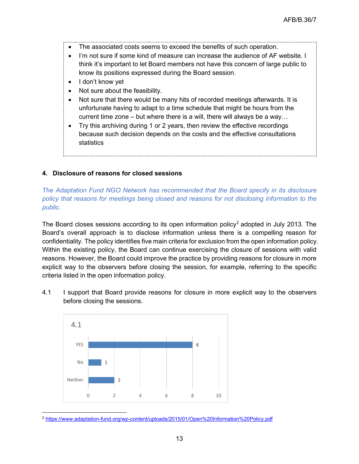- The associated costs seems to exceed the benefits of such operation.
- I'm not sure if some kind of measure can increase the audience of AF website. I think it's important to let Board members not have this concern of large public to know its positions expressed during the Board session.
- I don't know yet
- Not sure about the feasibility.
- Not sure that there would be many hits of recorded meetings afterwards. It is unfortunate having to adapt to a time schedule that might be hours from the current time zone – but where there is a will, there will always be a way…
- Try this archiving during 1 or 2 years, then review the effective recordings because such decision depends on the costs and the effective consultations statistics

# **4. Disclosure of reasons for closed sessions**

*The Adaptation Fund NGO Network has recommended that the Board specify in its disclosure policy that reasons for meetings being closed and reasons for not disclosing information to the public.*

The Board closes sessions according to its open information policy<sup>[2](#page-12-0)</sup> adopted in July 2013. The Board's overall approach is to disclose information unless there is a compelling reason for confidentiality. The policy identifies five main criteria for exclusion from the open information policy. Within the existing policy, the Board can continue exercising the closure of sessions with valid reasons. However, the Board could improve the practice by providing reasons for closure in more explicit way to the observers before closing the session, for example, referring to the specific criteria listed in the open information policy.

4.1 I support that Board provide reasons for closure in more explicit way to the observers before closing the sessions.



<span id="page-12-0"></span><sup>2</sup> <https://www.adaptation-fund.org/wp-content/uploads/2015/01/Open%20Information%20Policy.pdf>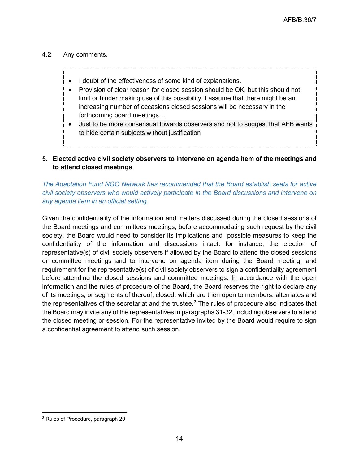## 4.2 Any comments.

- I doubt of the effectiveness of some kind of explanations.
- Provision of clear reason for closed session should be OK, but this should not limit or hinder making use of this possibility. I assume that there might be an increasing number of occasions closed sessions will be necessary in the forthcoming board meetings…
- Just to be more consensual towards observers and not to suggest that AFB wants to hide certain subjects without justification

# **5. Elected active civil society observers to intervene on agenda item of the meetings and to attend closed meetings**

*The Adaptation Fund NGO Network has recommended that the Board establish seats for active civil society observers who would actively participate in the Board discussions and intervene on any agenda item in an official setting.*

Given the confidentiality of the information and matters discussed during the closed sessions of the Board meetings and committees meetings, before accommodating such request by the civil society, the Board would need to consider its implications and possible measures to keep the confidentiality of the information and discussions intact: for instance, the election of representative(s) of civil society observers if allowed by the Board to attend the closed sessions or committee meetings and to intervene on agenda item during the Board meeting, and requirement for the representative(s) of civil society observers to sign a confidentiality agreement before attending the closed sessions and committee meetings. In accordance with the open information and the rules of procedure of the Board, the Board reserves the right to declare any of its meetings, or segments of thereof, closed, which are then open to members, alternates and the representatives of the secretariat and the trustee. $3$  The rules of procedure also indicates that the Board may invite any of the representatives in paragraphs 31-32, including observers to attend the closed meeting or session. For the representative invited by the Board would require to sign a confidential agreement to attend such session.

<span id="page-13-0"></span><sup>3</sup> Rules of Procedure, paragraph 20.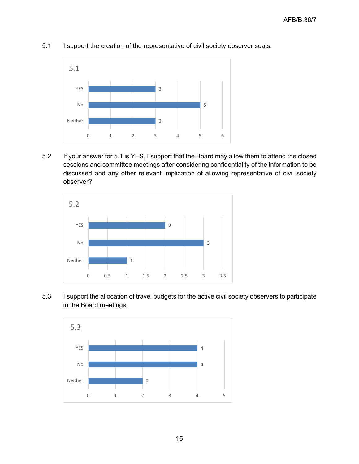

5.1 I support the creation of the representative of civil society observer seats.

5.2 If your answer for 5.1 is YES, I support that the Board may allow them to attend the closed sessions and committee meetings after considering confidentiality of the information to be discussed and any other relevant implication of allowing representative of civil society observer?



5.3 I support the allocation of travel budgets for the active civil society observers to participate in the Board meetings.

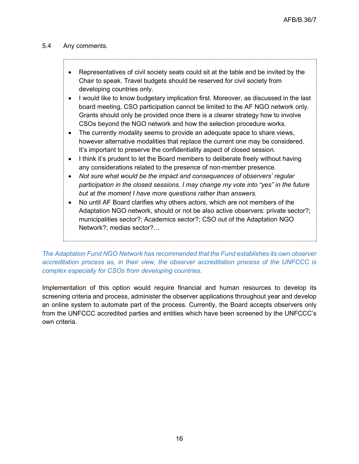## 5.4 Any comments.

- Representatives of civil society seats could sit at the table and be invited by the Chair to speak. Travel budgets should be reserved for civil society from developing countries only.
- I would like to know budgetary implication first. Moreover, as discussed in the last board meeting, CSO participation cannot be limited to the AF NGO network only. Grants should only be provided once there is a clearer strategy how to involve CSOs beyond the NGO network and how the selection procedure works.
- The currently modality seems to provide an adequate space to share views, however alternative modalities that replace the current one may be considered. It's important to preserve the confidentiality aspect of closed session.
- I think it's prudent to let the Board members to deliberate freely without having any considerations related to the presence of non-member presence.
- *Not sure what would be the impact and consequences of observers' regular participation in the closed sessions. I may change my vote into "yes" in the future but at the moment I have more questions rather than answers.*
- No until AF Board clarifies why others actors, which are not members of the Adaptation NGO network, should or not be also active observers: private sector?; municipalities sector?; Academics sector?; CSO out of the Adaptation NGO Network?; medias sector?…

*The Adaptation Fund NGO Network has recommended that the Fund establishes its own observer accreditation process as, in their view, the observer accreditation process of the UNFCCC is complex especially for CSOs from developing countries.*

Implementation of this option would require financial and human resources to develop its screening criteria and process, administer the observer applications throughout year and develop an online system to automate part of the process. Currently, the Board accepts observers only from the UNFCCC accredited parties and entities which have been screened by the UNFCCC's own criteria.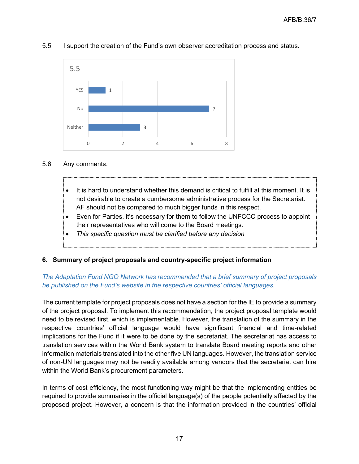

#### 5.5 I support the creation of the Fund's own observer accreditation process and status.

#### 5.6 Any comments.

- It is hard to understand whether this demand is critical to fulfill at this moment. It is not desirable to create a cumbersome administrative process for the Secretariat. AF should not be compared to much bigger funds in this respect.
- Even for Parties, it's necessary for them to follow the UNFCCC process to appoint their representatives who will come to the Board meetings.
- *This specific question must be clarified before any decision*

# **6. Summary of project proposals and country-specific project information**

# *The Adaptation Fund NGO Network has recommended that a brief summary of project proposals be published on the Fund's website in the respective countries' official languages.*

The current template for project proposals does not have a section for the IE to provide a summary of the project proposal. To implement this recommendation, the project proposal template would need to be revised first, which is implementable. However, the translation of the summary in the respective countries' official language would have significant financial and time-related implications for the Fund if it were to be done by the secretariat. The secretariat has access to translation services within the World Bank system to translate Board meeting reports and other information materials translated into the other five UN languages. However, the translation service of non-UN languages may not be readily available among vendors that the secretariat can hire within the World Bank's procurement parameters.

In terms of cost efficiency, the most functioning way might be that the implementing entities be required to provide summaries in the official language(s) of the people potentially affected by the proposed project. However, a concern is that the information provided in the countries' official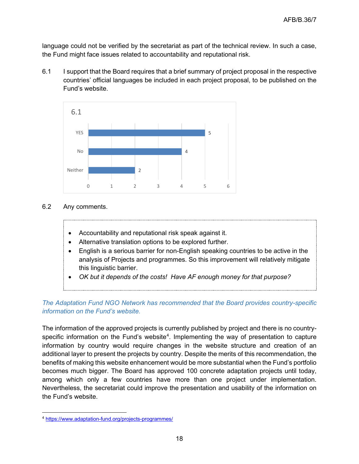language could not be verified by the secretariat as part of the technical review. In such a case, the Fund might face issues related to accountability and reputational risk.

6.1 I support that the Board requires that a brief summary of project proposal in the respective countries' official languages be included in each project proposal, to be published on the Fund's website.



- 6.2 Any comments.
	- Accountability and reputational risk speak against it.
	- Alternative translation options to be explored further.
	- English is a serious barrier for non-English speaking countries to be active in the analysis of Projects and programmes. So this improvement will relatively mitigate this linguistic barrier.
	- *OK but it depends of the costs! Have AF enough money for that purpose?*

# *The Adaptation Fund NGO Network has recommended that the Board provides country-specific information on the Fund's website.*

The information of the approved projects is currently published by project and there is no country-specific information on the Fund's website<sup>[4](#page-17-0)</sup>. Implementing the way of presentation to capture information by country would require changes in the website structure and creation of an additional layer to present the projects by country. Despite the merits of this recommendation, the benefits of making this website enhancement would be more substantial when the Fund's portfolio becomes much bigger. The Board has approved 100 concrete adaptation projects until today, among which only a few countries have more than one project under implementation. Nevertheless, the secretariat could improve the presentation and usability of the information on the Fund's website.

<span id="page-17-0"></span><sup>4</sup> <https://www.adaptation-fund.org/projects-programmes/>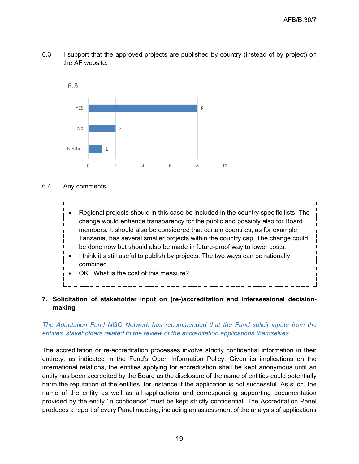



#### 6.4 Any comments.

- Regional projects should in this case be included in the country specific lists. The change would enhance transparency for the public and possibly also for Board members. It should also be considered that certain countries, as for example Tanzania, has several smaller projects within the country cap. The change could be done now but should also be made in future-proof way to lower costs.
- I think it's still useful to publish by projects. The two ways can be rationally combined.
- OK. What is the cost of this measure?

## **7. Solicitation of stakeholder input on (re-)accreditation and intersessional decisionmaking**

# *The Adaptation Fund NGO Network has recommended that the Fund solicit inputs from the entities' stakeholders related to the review of the accreditation applications themselves.*

The accreditation or re-accreditation processes involve strictly confidential information in their entirety, as indicated in the Fund's Open Information Policy. Given its implications on the international relations, the entities applying for accreditation shall be kept anonymous until an entity has been accredited by the Board as the disclosure of the name of entities could potentially harm the reputation of the entities, for instance if the application is not successful. As such, the name of the entity as well as all applications and corresponding supporting documentation provided by the entity 'in confidence' must be kept strictly confidential. The Accreditation Panel produces a report of every Panel meeting, including an assessment of the analysis of applications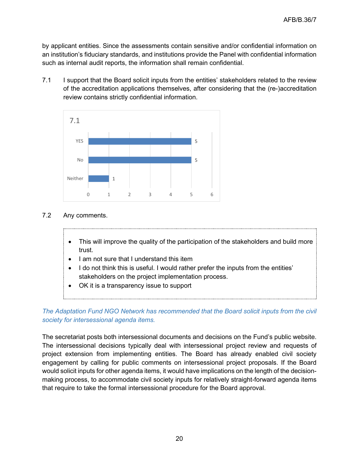by applicant entities. Since the assessments contain sensitive and/or confidential information on an institution's fiduciary standards, and institutions provide the Panel with confidential information such as internal audit reports, the information shall remain confidential.

7.1 I support that the Board solicit inputs from the entities' stakeholders related to the review of the accreditation applications themselves, after considering that the (re-)accreditation review contains strictly confidential information.



- 7.2 Any comments.
	- This will improve the quality of the participation of the stakeholders and build more trust.
	- I am not sure that I understand this item
	- I do not think this is useful. I would rather prefer the inputs from the entities' stakeholders on the project implementation process.
	- OK it is a transparency issue to support

# *The Adaptation Fund NGO Network has recommended that the Board solicit inputs from the civil society for intersessional agenda items.*

The secretariat posts both intersessional documents and decisions on the Fund's public website. The intersessional decisions typically deal with intersessional project review and requests of project extension from implementing entities. The Board has already enabled civil society engagement by calling for public comments on intersessional project proposals. If the Board would solicit inputs for other agenda items, it would have implications on the length of the decisionmaking process, to accommodate civil society inputs for relatively straight-forward agenda items that require to take the formal intersessional procedure for the Board approval.